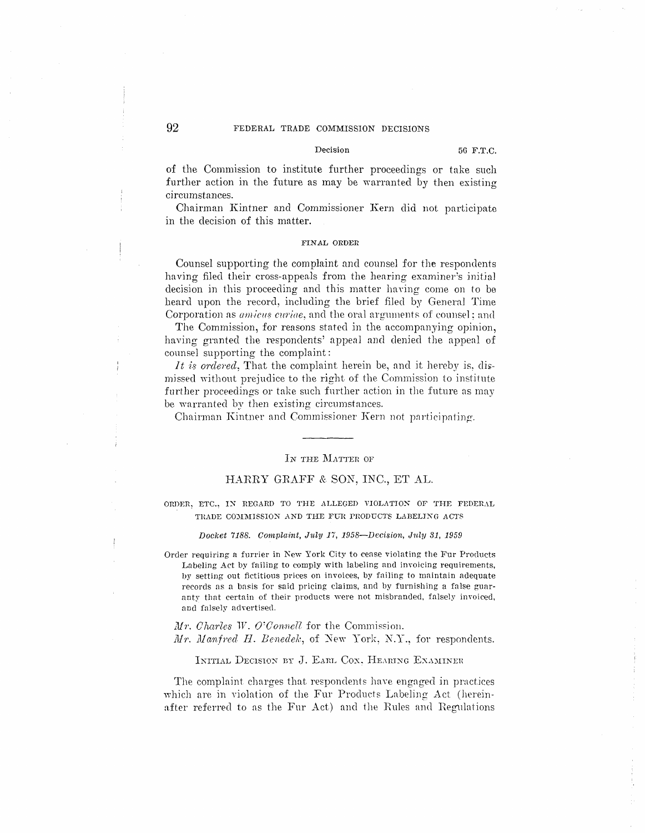#### Decision

of the Commission to institute further proceedings or take such further action in the future as may be warranted by then existing circumstances.

Chairman Kintner and Commissioner Kern did not participate in the decision of this matter.

# FINAL ORDER

Counsel supporting the complaint and counsel for the respondents having filed their cross-appeals from the hearing examiner's initial decision in this proceeding and this matter having come on to be heard upon the record, including the brief filed by General Time Corporation as *amicus curiae*, and the oral arguments of counsel; and

The Commission, for reasons stated in the accompanying opinion, having granted the respondents' appeal and denied the appeal of counsel supporting the complaint:

It is ordered. That the complaint herein be, and it hereby is, dismissed without prejudice to the right of the Commission to institute further proceedings or take such further action in the future as may be warranted by then existing circumstances.

Chairman Kintner and Commissioner Kern not participating.

# IN THE MATTER OF

# HARRY GRAFF & SON, INC., ET AL.

ORDER, ETC., IN REGARD TO THE ALLEGED VIOLATION OF THE FEDERAL TRADE COMMISSION AND THE FUR PRODUCTS LABELING ACTS

#### Docket 7188. Complaint, July 17, 1958-Decision, July 31, 1959

Order requiring a furrier in New York City to cease violating the Fur Products Labeling Act by failing to comply with labeling and invoicing requirements. by setting out fictitious prices on invoices, by failing to maintain adequate records as a basis for said pricing claims, and by furnishing a false guaranty that certain of their products were not misbranded, falsely invoiced, and falsely advertised.

 $Mr.$  Charles W. O'Connell for the Commission. Mr. Manfred H. Benedek, of New York, N.Y., for respondents.

### INITIAL DECISION BY J. EARL COX. HEARING EXAMINER

The complaint charges that respondents have engaged in practices which are in violation of the Fur Products Labeling Act (hereinafter referred to as the Fur Act) and the Rules and Regulations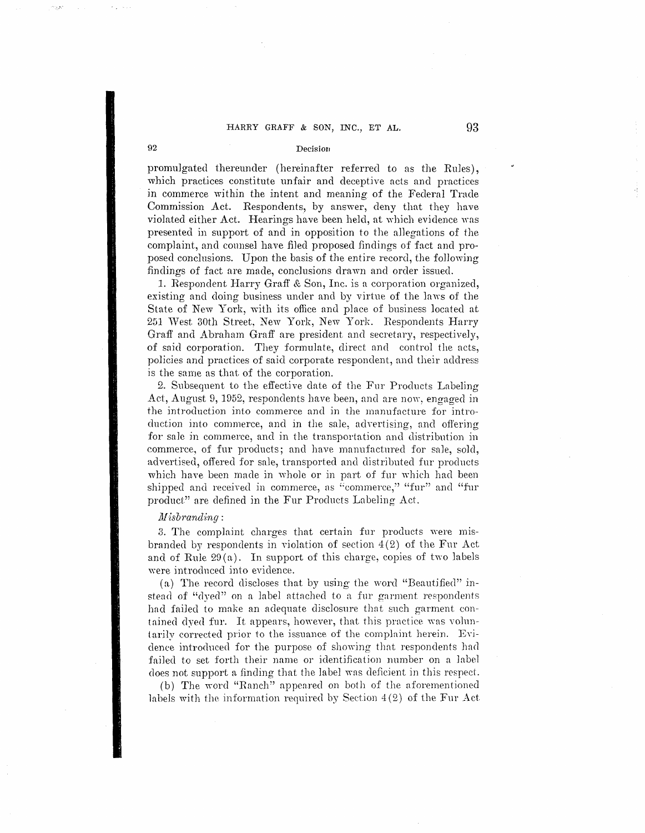# HARRY GRAFF & SON, INC., ET AL. 93

### **92** Decision

promulgated thereunder (hereinafter referred to as the Rules), which practices constitute unfair and deceptive acts and practices in commerce within the intent and meaning of the Federal Trade Commission Act. Respondents, by answer, deny that they have violated either Act. Hearings have been held, at which evidence was presented in support of and in opposition to the a11egations of the complaint., and counsel have filed proposed findings of fact and proposed conclusions. Upon the basis of the entire record, the fo11owing findings of fact are made, conclusions drawn and order issued.

1. Respondent Harry Graff & Son, Inc. is a corporation organized, existing and doing business under and by virtue of the laws of the State of New York, with its office and place of business located at 251 West 30th Street, New York, New York. Respondents Harry Graff and Abraham Graff are president and secretary, respectively, of said corporation. They formulate, direct and control the acts, policies and practices of said corporate respondent, and their address is the same as that of the corporation.

2. Subsequent to the effective date of the Fur Products Labeling Act, August 9, 1952, respondents have been, and are now, engaged in the introduction into commerce and in the manufacture for introduction into commerce, and in the sale, advertising, and offering for sale in commerce, and in the transportation and distribution in commerce, of fur products; and have manufactured for sale, sold. advertised, offered for sale, transported and distributed fur products which have been made in whole or in part of fur which had been shipped and received in commerce, as "commerce," "fur" and "fur product" are defined in the Fur Products Labeling Act.

# $M$ *isbranding*:

3. The complaint charges that certain fur products were misbranded by respondents in violation of section  $4(2)$  of the Fur Act and of Rule  $29(a)$ . In support of this charge, copies of two labels were introdnced into evidence.

(a) The record discloses that by using the word "Beautified" instead of "dyed" on a label attached to a fur garment respondents had failed to make an adequate disclosure that such garment contained dyed fur. It appears, however, that this practice was voluntarily corrected prior to the issuance of the complaint herein. Evidence introduced for the purpose of showing that respondents had failed to set forth their name or identification number on a label does not support a finding that the label was deficient in this respect.

(b) The word "Ranch" appeared on both of the aforementioned labels with the information required by Section  $4(2)$  of the Fur Act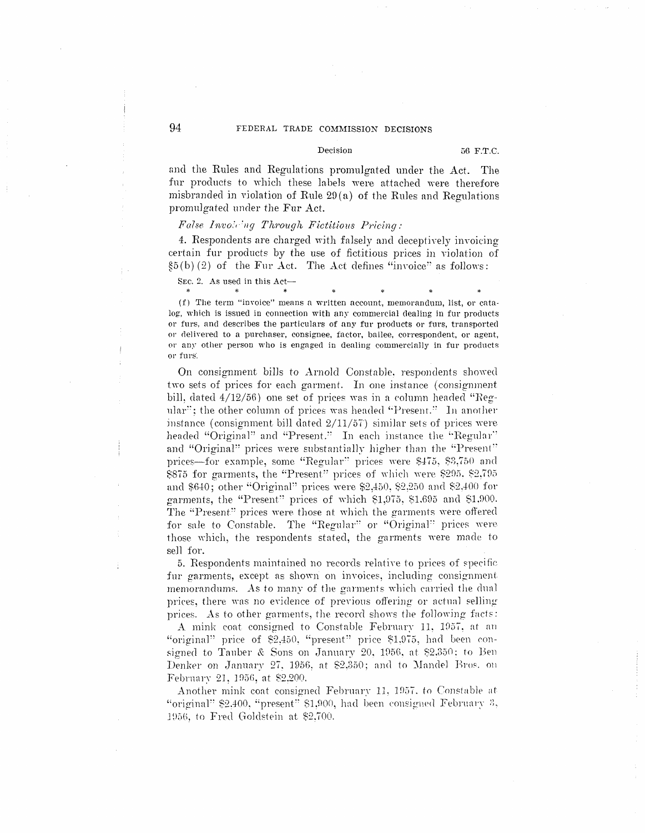### Decision

and the Rules and Regulations promulgated under the Act. The fur products to which these labels were attached were therefore misbranded in violation of Rule 29(a) of the Rules and Regulations promulgated under the Fur Act.

### False Invoicing Through Fictitious Pricing:

4. Respondents are charged with falsely and deceptively invoicing certain fur products by the use of fictitious prices in violation of  $\S5(b)(2)$  of the Fur Act. The Act defines "invoice" as follows:

SEC. 2. As used in this Act- $\ast$ 

(f) The term "invoice" means a written account, memorandum, list, or catalog, which is issued in connection with any commercial dealing in fur products or furs, and describes the particulars of any fur products or furs, transported or delivered to a purchaser, consignee, factor, bailee, correspondent, or agent, or any other person who is engaged in dealing commercially in fur products or furs

On consignment bills to Arnold Constable, respondents showed two sets of prices for each garment. In one instance (consignment bill, dated 4/12/56) one set of prices was in a column headed "Regular"; the other column of prices was headed "Present." In another instance (consignment bill dated  $2/11/57$ ) similar sets of prices were headed "Original" and "Present." In each instance the "Regular" and "Original" prices were substantially higher than the "Present" prices-for example, some "Regular" prices were \$475, \$3,750 and \$875 for garments, the "Present" prices of which were \$295, \$2,795 and \$640; other "Original" prices were \$2,450, \$2,250 and \$2,400 for garments, the "Present" prices of which \$1,975, \$1,695 and \$1,900. The "Present" prices were those at which the garments were offered for sale to Constable. The "Regular" or "Original" prices were those which, the respondents stated, the garments were made to sell for.

5. Respondents maintained no records relative to prices of specific fur garments, except as shown on invoices, including consignment memorandums. As to many of the garments which carried the dual prices, there was no evidence of previous offering or actual selling prices. As to other garments, the record shows the following facts:

A mink coat consigned to Constable February 11, 1957, at an "original" price of \$2,450, "present" price \$1,975, had been consigned to Tauber & Sons on January 20, 1956, at \$2.350; to Ben Denker on January 27, 1956, at \$2,350; and to Mandel Bros. on February 21, 1956, at \$2.200.

Another mink coat consigned February 11, 1957, to Constable at "original" \$2.400, "present" \$1.900, had been consigned February 3, 1956, to Fred Goldstein at \$2,700.

÷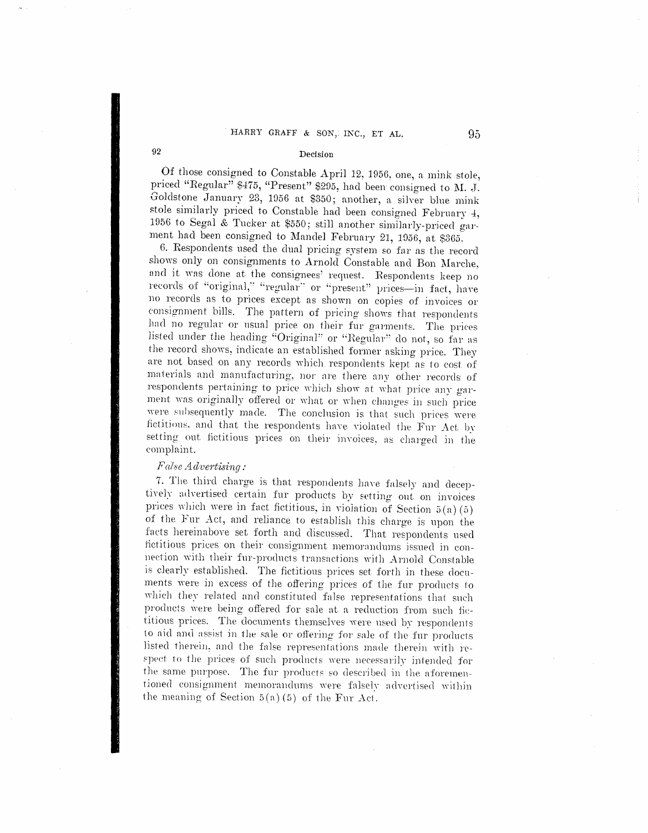#### Decision

Of those consigned to Constable April 12, 1956, one, a mink stole, priced "Regular" \$475, "Present" \$295, had been consigned to M. J. Goldstone January 23, 1956 at \$350; another, a silver blue mink stole similarly priced to Constable had been consigned February 4, 1956 to Segal & Tucker at \$550; still another similarly-priced garment had been consigned to Mandel February 21, 1956, at \$365.

6. Respondents used the dual pricing system so far as the record shows only on consignments to Arnold Constable and Bon Marche, and it was done at the consignees' request. Respondents keep no records of "original," "regular" or "present" prices-in fact, have no records as to prices except as shown on copies of invoices or consignment bills. The pattern of pricing shows that respondents had no regular or usual price on their fur garments. The prices listed under the heading "Original" or "Regular" do not, so far as the record shows, indicate an established former asking price. They are not based on any records which respondents kept as to cost of materials and manufacturing, nor are there any other records of respondents pertaining to price which show at what price any garment was originally offered or what or when changes in such price were subsequently made. The conclusion is that such prices were fictitions, and that the respondents have violated the Fur Act by setting out fictitious prices on their invoices, as charged in the complaint.

# False Advertising:

7. The third charge is that respondents have falsely and deceptively advertised certain fur products by setting out on invoices prices which were in fact fictitious, in violation of Section  $5(a)(5)$ of the Fur Act, and reliance to establish this charge is upon the facts hereinabove set forth and discussed. That respondents used fictitious prices on their consignment memorandums issued in connection with their fur-products transactions with Arnold Constable is clearly established. The fictitious prices set forth in these documents were in excess of the offering prices of the fur products to which they related and constituted false representations that such products were being offered for sale at a reduction from such fictitious prices. The documents themselves were used by respondents to aid and assist in the sale or offering for sale of the fur products listed therein, and the false representations made therein with respect to the prices of such products were necessarily intended for the same purpose. The fur products so described in the aforementioned consignment memorandums were falsely advertised within the meaning of Section  $5(a)(5)$  of the Fur Act.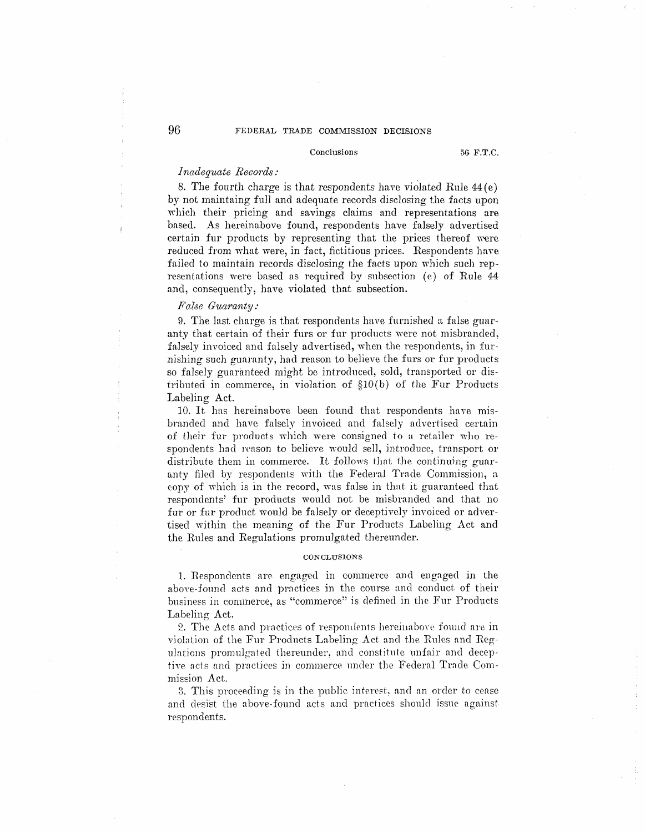#### Conclusions 5G F.T.C.

# *Inadequate Records:*

8. The fourth charge is that respondents have violated Rule  $44 (e)$ by not maintaing full and adequate records disclosing the facts upon which their pricing and savings claims and representations are based. As hereinabove found, respondents have falsely advertised certain fur products by representing that the prices thereof were reduced from what were, in fact, fictitious prices. Respondents haxe failed to maintain records disclosing the facts upon which such representations were based as required by subsection (e) of Rule 44 and, consequently, have violated that subsection.

### $False$  *Guaranty:*

9. The last charge is that respondents have furnished a false guaranty that certain of their furs or fur products were not misbranded, falsely invoiced and falsely advertised, when the respondents, in furnishing such guaranty, had reason to believe the furs or fur products so falsely guaranteed might be introduced, sold, transported or distributed in commerce, in violation of §10 (b) of the Fur Products Labeling Act.

10. It has hereinabove been found that respondents have misbranded and have falsely invoiced and falsely advertised certain of their fur products which were consigned to a retailer who respondents had reason to believe would sell, introduce, transport or distribute them in commerce. It follows that the continujng guaranty filed by respondents with the Federal Trade Commission, a copy of which is in the record, was false in that it guaranteed that respondents' fur products would not be misbranded and that no fur or fur product would be falsely or deceptively invoiced or advertised within the meaning of the Fur Products Labeling Act and the Rules and Regulations promulgated thereunder.

#### **CONCLUSIONS**

1. Respondents are engaged in commerce and engaged in the above-found acts and practices in the course and conduct. of their business in commerce, as "commerce'' is defined in the Fur Products Labeling Act.

2. The Acts and practices of respondents heremabove found are in violation of the Fur Products Labeling Act and the Rules and Regulations promulgated thereunder, and constitute unfair and deceptive acts and practices in commerce under the Federal Trade Commission Act.

3. This proceeding is in the public interest, and an order to cease and desist the above-found acts and practices should issue against respondents.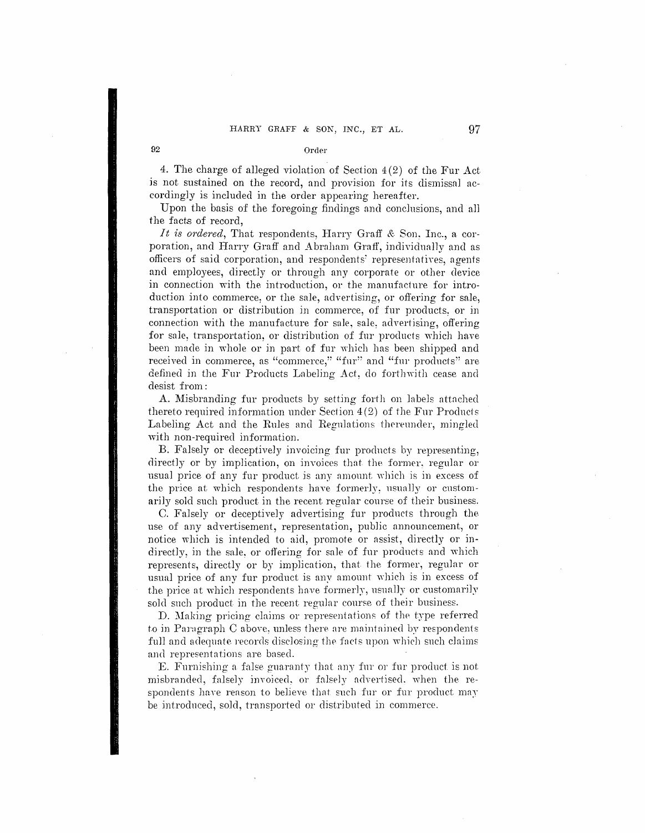4. The charge of alleged violation of Section 4 (2) of the Fur Act js not sustained on the record, and provision for its dismissal accordingly is included in the order appearing hereafter.

Upon the basis of the foregoing findings and conclusions, and all the facts of record,

It is ordered, That respondents, Harry Graff & Son, Inc., a corporation, and Harry Graff and Abraham Graff, individually and as officers of said corporation, and respondents' representatives, agents and employees, directly or through any corporate or other device in connection with the introduction, or the manufacture for introduction into commerce, or the sale, advertising, or offering for sale. transportation or distribution in commerce: of fur products: or in connection with the manufacture for sale, sale, advertising, offering for sale, transportation, or distribution of fur products which have been made in whole or jn part of fur which has been shipped and received in commerce, as "commerce," "fur" and "fur products" are defined in the Fur Products Labeling Act, do forthwith cease and desist from :

A. Misbranding fur products by setting forth on lnbels attached thereto required information under Section  $4(2)$  of the Fur Products Labeling Act and the Rules and Regnlations thereunder, mingled with non-required information.

B. Falsely or deceptively invoicing fur products by representing, directly or by implication, on invoices that the former, regular or usual price of any fur product is any amount which is in excess of the price at which respondents have formerly, usually or customarily sold such product in the recent regular course of their business.

C. Falsely or deceptively advertising fur products through the use of any advertisement, representation, public announcement, or notice which is intended to aid, promote or assist, directly or indirectly, in the sale, or offering for sale of fur products and which represents, directly or by impJication, that the former, regular or usual price of any fur product is any amount which is in excess of the price at which respondents have formerly, usually or customarily sold such product in the recent regular course of their business.

D. Making pricing claims or representations of the type referred to in Paragraph C above, unless there are maintained by respondents full and adequate records disclosing the facts upon which such claims and representations are based.

E. Furnishing a false guaranty that any fur or fur product is not misbranded, falsely invoiced, or falsely advertised, when the respondents have reason to believe that such fur or fur product may be introdnced, sold, transported or distributed in commerce.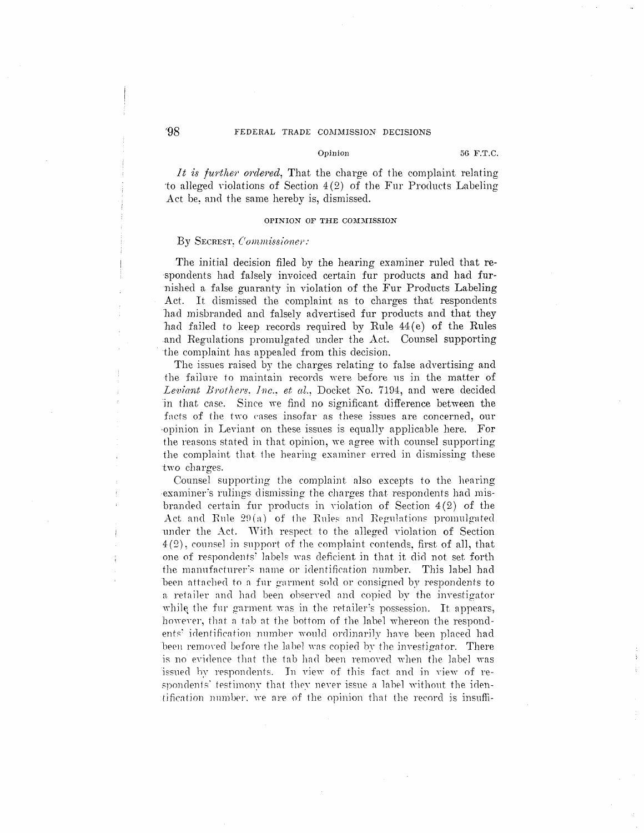### Opinion 56 F.T.C.

It is further ordered. That the charge of the complaint relating 'to alleged violations of Section 4(2) of the Fur Products Labeling Act be, and the same hereby is, dismissed.

### **OPINION OF THE COMMISSION**

### By SECREST: *Commissione;':*

The initial decision filed by the hearing examiner ruled that re ·spondents had falsely invoiced certain fur products and had furnished a false guaranty in violation of the Fur Products Labeling Act. It dismissed the complaint as to charges that respondents had misbranded and falsely advertised fur products and that they had failed to keep records required by Rule 44 (e) of the Rules .and Regulations promulgated under the Act. Counsel supporting · the complaint has appealed from this decision.

The issues raised by the charges relating to false advertising and the failure to maintain records were before us in the matter of Leviant Brothers. Inc.. et al., Docket No. 7194, and were decided in that case. Since we find no significant difference between the facts of the two cases insofar as these issues are concerned, our ·opinion in Leviant on these issues is equally applicable here. For the reasons stated in that opinion, we agree with counsel supporting the complaint that the hearing examiner erred in dismissing these two charges.

Counsel supporting the complaint also excepts to the hearing examiner's rulings dismissing the charges that respondents had misbranded certain fur products in violation of Section  $4(2)$  of the Act and Rule  $29(a)$  of the Rules and Regulations promulgated under the Act. With respect to the alleged violation of Section  $4(2)$ , counsel in support of the complaint contends, first of all, that one of respondents' labels was deficient in that it did not set forth the manufacturer's name or identification number. This label had been attached to a fur garment sold or consigned by respondents to a retailer and had been observed and copied by the investigator while the fur garment was in the retailer's possession. It appears, however, that a tab at the bottom of the label whereon the respondents' identification number would ordinarily have been placed had been removed before the label was copied by the investigator. There is no evidence that the tab had been removed when the label was issued by respondents. In view of this fact and in view of respondents' testimony that they never issue a label without the iden $t$  tification number, we are of the opinion that the record is insuffi-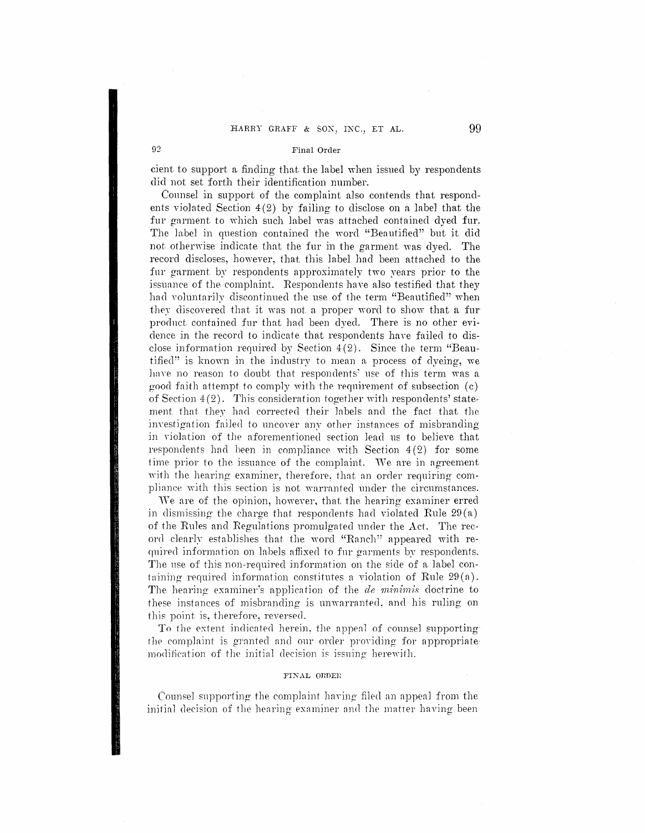#### Final Order

 $92$ 

cient to support a finding that the label when issued by respondents did not set forth their identification number.

Counsel in support of the complaint also contends that respondents violated Section  $4(2)$  by failing to disclose on a label that the fur garment to which such label was attached contained dyed fur. The label in question contained the word "Beautified" but it did not otherwise indicate that the fur in the garment was dyed. The record discloses, however, that this label had been attached to the fur garment by respondents approximately two vears prior to the issuance of the complaint. Respondents have also testified that they had voluntarily discontinued the use of the term "Beautified" when they discovered that it was not a proper word to show that a fur product contained fur that had been dyed. There is no other evidence in the record to indicate that respondents have failed to disclose information required by Section  $4(2)$ . Since the term "Beautified" is known in the industry to mean a process of dyeing, we have no reason to doubt that respondents' use of this term was a good faith attempt to comply with the requirement of subsection (c) of Section  $4(2)$ . This consideration together with respondents' statement that they had corrected their labels and the fact that the investigation failed to uncover any other instances of misbranding in violation of the aforementioned section lead us to believe that respondents had been in compliance with Section  $4(2)$  for some time prior to the issuance of the complaint. We are in agreement with the hearing examiner, therefore, that an order requiring compliance with this section is not warranted under the circumstances.

We are of the opinion, however, that the hearing examiner erred in dismissing the charge that respondents had violated Rule  $29(a)$ of the Rules and Regulations promulgated under the Act. The record clearly establishes that the word "Ranch" appeared with required information on labels affixed to fur garments by respondents. The use of this non-required information on the side of a label containing required information constitutes a violation of Rule  $29(a)$ . The hearing examiner's application of the *de minimis* doctrine to these instances of misbranding is unwarranted, and his ruling on this point is, therefore, reversed.

To the extent indicated herein, the appeal of counsel supporting the complaint is granted and our order providing for appropriate modification of the initial decision is issuing herewith.

#### FINAL ORDER

Counsel supporting the complaint having filed an appeal from the initial decision of the hearing examiner and the matter having been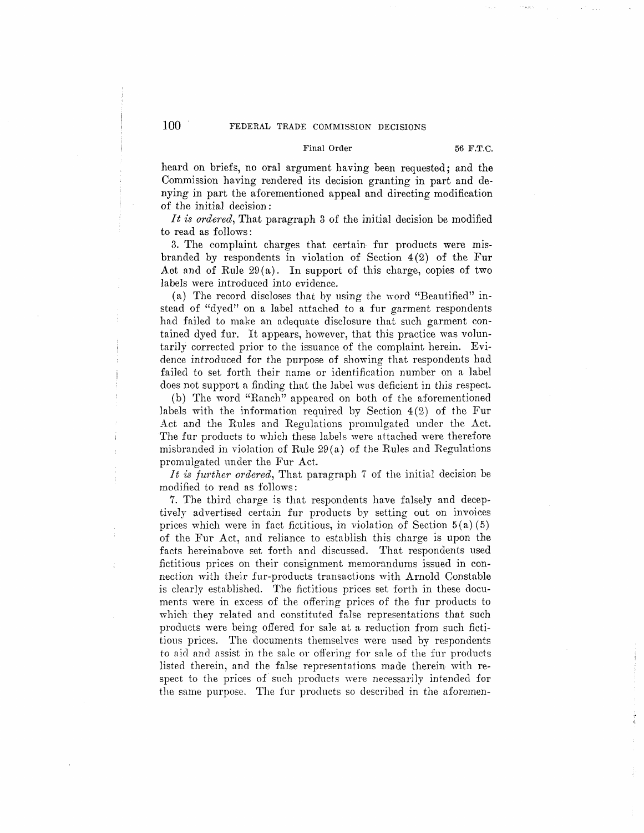# Final Order 56 F.T.C.

heard on briefs, no oral argument having been requested; and the Commission having rendered its decision granting in part and denying in part the aforementioned appeal and directing modification of the initial decision:

*It is ordered,* That paragraph 3 of the initial decision be modified to read as follows :

3. The complaint charges that certain fur products were misbranded by respondents in violation of Section  $4(2)$  of the Fur Aot and of Rule  $29(a)$ . In support of this charge, copies of two labels were introduced into evidence.

(a) The record discloses that by using the word "Beautified" instead of "dyed" on a label attached to a fur garment respondents had failed to make an adequate disclosure that such garment contained dyed fur. It appears, however, that this practice was voluntarily corrected prior to the issuance of the complaint herein. Evidence introduced for the purpose of showing that respondents had failed to set forth their name or identification number on a label does not support a finding that the label was deficient in this respect.

(b) The word "Ranch" appeared on both of the aforementioned labels with the information required by Section  $4(2)$  of the Fur Act and the Rules and Regulations promulgated under the Act. The fur products to which these labels were attached were therefore misbranded in violation of Rule  $29(a)$  of the Rules and Regulations promulgated under the Fur Act.

*It is further ordered,* That paragraph 7 of the initial decision be modified to read as follows :

7. The third charge is that respondents have falsely and deceptively advertised certain fur products by setting out on invoices prices which were in fact fictitious, in violation of Section  $5(a)(5)$ of the Fur Act, and reliance to establish this charge is upon the facts hereinabove set forth and discussed. That respondents used fictitious prices on their consignment memorandums issued in connection with their fur-products transactions with Arnold Constable is clearly established. The fictitious prices set forth in these documents were in excess of the offering prices of the fur products to which they related and constituted false representations that such products were being offered for sale at a reduction from such fictitious prices. The documents themselves were used by respondents to aid and assist in the sa1c or offering for sale of the fur products listed therein, and the false representations made therein with respect to the prices of such products were necessarily intended for the same purpose. The fur products so described in the aforemen-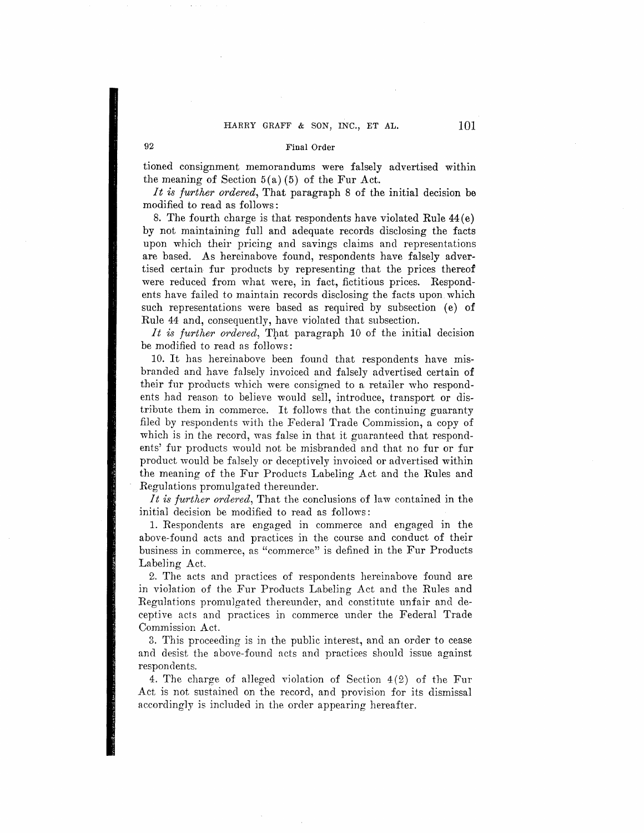#### Final Order

tioned consignment memorandums were falsely advertised within the meaning of Section  $5(a)(5)$  of the Fur Act.

*It is further ordered,* That paragraph 8 of the initial decision be modified to read as follows :

8. The fourth charge is that respondents have violated Rule  $44(e)$ by not maintaining full and adequate records disclosing the facts upon which their pricing and savings claims and representations are based. As hereinabove found, respondents have falsely advertised certain fur products by representing that the prices thereof were reduced from what were, in fact, fictitious prices. Respondents have failed to maintain records disclosing the facts upon which such representations were based as required by subsection (e) of Rule 44 and, consequently, have violated that subsection.

It is further ordered, That paragraph 10 of the initial decision be modified *to* read as follows:

10. It has hereinabove been found that respondents have misbranded and have falsely invoiced and falsely advertised certain **of**  their fur products which were consigned to a retailer who respondents had reason to believe would sell, introduce, transport or distribute them in commerce. It follows that the continuing guaranty filed by respondents with the Federal Trade Commission, a copy of which is in the record, was false in that it guaranteed that respondents' fur products would not be misbranded and that no fur or fur product would be falsely or deceptively invoiced or advertised within the meaning of the Fur Products Labeling Act and the Rules and Regulations promulgated thereunder.

*It is further ordered,* That the conclusions of law contained in the initial decision be modified to read as follows:

1. Respondents are engaged in commerce and engaged in the above-found acts and practices in the course and conduct of their business in commerce, as "commerce" is defined in the Fur Products Labeling Act.

2. The acts and practices of respondents hereinabove found are in violation of the Fur Products Labeling Act and the Rules and Regulations promulgated thereunder, and constitute unfair and deceptive acts and practices in commerce under the Federal Trade Commission Act.

3. This proceeding is in the public interest, and an order to cease and desist the above-found acts and practices should issue against respondents.

4. The charge of a11eged violation of Section 4 (2) of the Fur Act is not sustained on the record, and provision for its dismissal accordingly is included in the order appearing hereafter.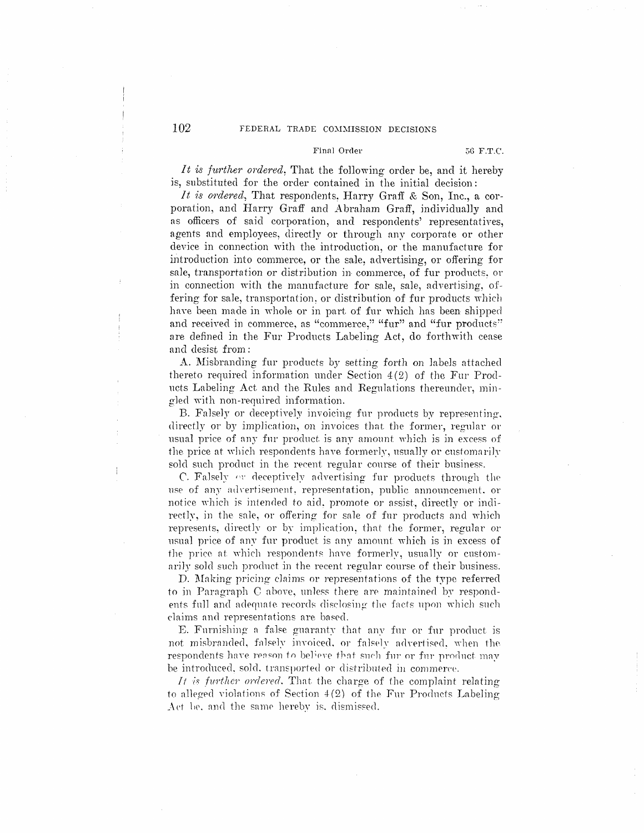### Final Order

It is further ordered. That the following order be, and it hereby is, substituted for the order contained in the initial decision:

It is ordered, That respondents. Harry Graff & Son, Inc., a corporation, and Harry Graff and Abraham Graff, individually and as officers of said corporation, and respondents' representatives, agents and employees, directly or through any corporate or other device in connection with the introduction, or the manufacture for introduction into commerce, or the sale, advertising, or offering for sale, transportation or distribution in commerce, of fur products, or in connection with the manufacture for sale, sale, advertising, offering for sale, transportation, or distribution of fur products which have been made in whole or in part of fur which has been shipped and received in commerce, as "commerce," "fur" and "fur products" are defined in the Fur Products Labeling Act, do forthwith cease and desist from:

A. Misbranding fur products by setting forth on labels attached thereto required information under Section 4(2) of the Fur Products Labeling Act and the Rules and Regulations thereunder, mingled with non-required information.

B. Falsely or deceptively invoicing fur products by representing, directly or by implication, on invoices that the former, regular or usual price of any fur product is any amount which is in excess of the price at which respondents have formerly, usually or customarily sold such product in the recent regular course of their business.

C. Falsely or deceptively advertising fur products through the use of any advertisement, representation, public announcement, or notice which is intended to aid, promote or assist, directly or indirectly, in the sale, or offering for sale of fur products and which represents, directly or by implication, that the former, regular or usual price of any fur product is any amount which is in excess of the price at which respondents have formerly, usually or customarily sold such product in the recent regular course of their business.

D. Making pricing claims or representations of the type referred to in Paragraph C above, unless there are maintained by respondents full and adequate records disclosing the facts upon which such claims and representations are based.

E. Furnishing a false guaranty that any fur or fur product is not misbranded, falsely invoiced, or falsely advertised, when the respondents have reason to believe that such fur or fur product may be introduced, sold, transported or distributed in commerce.

It is further ordered. That the charge of the complaint relating to alleged violations of Section 4(2) of the Fur Products Labeling Act be, and the same hereby is, dismissed.

 $\ddagger$